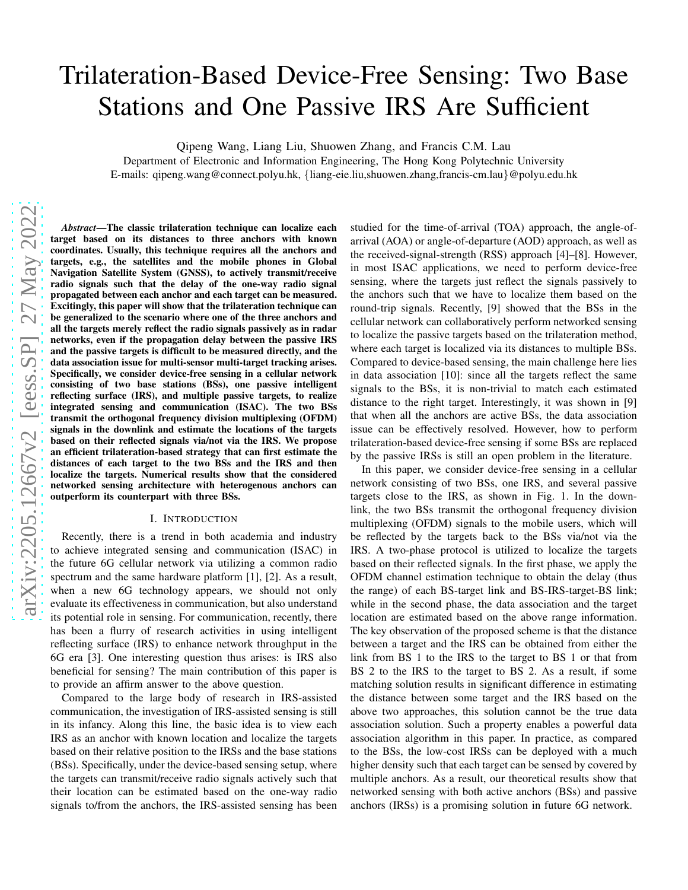# Trilateration-Based Device-Free Sensing: Two Base Stations and One Passive IRS Are Sufficient

Qipeng Wang, Liang Liu, Shuowen Zhang, and Francis C.M. Lau

Department of Electronic and Information Engineering, The Hong Kong Polytechnic University E-mails: qipeng.wang@connect.polyu.hk, {liang-eie.liu,shuowen.zhang,francis-cm.lau}@polyu.edu.hk

*Abstract*—The classic trilateration technique can localize each target based on its distances to three anchors with known coordinates. Usually, this technique requires all the anchors and targets, e.g., the satellites and the mobile phones in Global Navigation Satellite System (GNSS), to actively transmit/receive radio signals such that the delay of the one-way radio signal propagated between each anchor and each target can be measured. Excitingly, this paper will show that the trilateration technique can be generalized to the scenario where one of the three anchors and all the targets merely reflect the radio signals passively as in radar networks, even if the propagation delay between the passive IRS and the passive targets is difficult to be measured directly, and the data association issue for multi-sensor multi-target tracking arises. Specifically, we consider device-free sensing in a cellular network consisting of two base stations (BSs), one passive intelligent reflecting surface (IRS), and multiple passive targets, to realize integrated sensing and communication (ISAC). The two BSs transmit the orthogonal frequency division multiplexing (OFDM) signals in the downlink and estimate the locations of the targets based on their reflected signals via/not via the IRS. We propose an efficient trilateration-based strategy that can first estimate the distances of each target to the two BSs and the IRS and then localize the targets. Numerical results show that the considered networked sensing architecture with heterogenous anchors can outperform its counterpart with three BSs.

### I. INTRODUCTION

Recently, there is a trend in both academia and industry to achieve integrated sensing and communication (ISAC) in the future 6G cellular network via utilizing a common radio spectrum and the same hardware platform [\[1\]](#page-5-0), [\[2\]](#page-5-1). As a result, when a new 6G technology appears, we should not only evaluate its effectiveness in communication, but also understand its potential role in sensing. For communication, recently, there has been a flurry of research activities in using intelligent reflecting surface (IRS) to enhance network throughput in the 6G era [\[3\]](#page-5-2). One interesting question thus arises: is IRS also beneficial for sensing? The main contribution of this paper is to provide an affirm answer to the above question.

Compared to the large body of research in IRS-assisted communication, the investigation of IRS-assisted sensing is still in its infancy. Along this line, the basic idea is to view each IRS as an anchor with known location and localize the targets based on their relative position to the IRSs and the base stations (BSs). Specifically, under the device-based sensing setup, where the targets can transmit/receive radio signals actively such that their location can be estimated based on the one-way radio signals to/from the anchors, the IRS-assisted sensing has been studied for the time-of-arrival (TOA) approach, the angle-ofarrival (AOA) or angle-of-departure (AOD) approach, as well as the received-signal-strength (RSS) approach [\[4\]](#page-5-3)–[\[8\]](#page-5-4). However, in most ISAC applications, we need to perform device-free sensing, where the targets just reflect the signals passively to the anchors such that we have to localize them based on the round-trip signals. Recently, [\[9\]](#page-5-5) showed that the BSs in the cellular network can collaboratively perform networked sensing to localize the passive targets based on the trilateration method, where each target is localized via its distances to multiple BSs. Compared to device-based sensing, the main challenge here lies in data association [\[10\]](#page-5-6): since all the targets reflect the same signals to the BSs, it is non-trivial to match each estimated distance to the right target. Interestingly, it was shown in [\[9\]](#page-5-5) that when all the anchors are active BSs, the data association issue can be effectively resolved. However, how to perform trilateration-based device-free sensing if some BSs are replaced by the passive IRSs is still an open problem in the literature.

In this paper, we consider device-free sensing in a cellular network consisting of two BSs, one IRS, and several passive targets close to the IRS, as shown in Fig. [1.](#page-1-0) In the downlink, the two BSs transmit the orthogonal frequency division multiplexing (OFDM) signals to the mobile users, which will be reflected by the targets back to the BSs via/not via the IRS. A two-phase protocol is utilized to localize the targets based on their reflected signals. In the first phase, we apply the OFDM channel estimation technique to obtain the delay (thus the range) of each BS-target link and BS-IRS-target-BS link; while in the second phase, the data association and the target location are estimated based on the above range information. The key observation of the proposed scheme is that the distance between a target and the IRS can be obtained from either the link from BS 1 to the IRS to the target to BS 1 or that from BS 2 to the IRS to the target to BS 2. As a result, if some matching solution results in significant difference in estimating the distance between some target and the IRS based on the above two approaches, this solution cannot be the true data association solution. Such a property enables a powerful data association algorithm in this paper. In practice, as compared to the BSs, the low-cost IRSs can be deployed with a much higher density such that each target can be sensed by covered by multiple anchors. As a result, our theoretical results show that networked sensing with both active anchors (BSs) and passive anchors (IRSs) is a promising solution in future 6G network.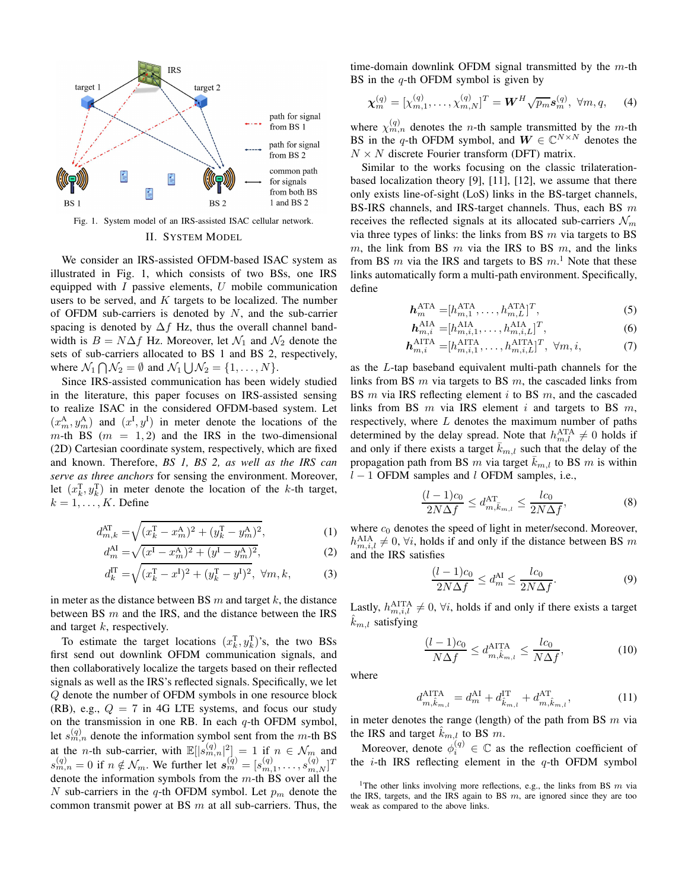

<span id="page-1-0"></span>Fig. 1. System model of an IRS-assisted ISAC cellular network. II. SYSTEM MODEL

We consider an IRS-assisted OFDM-based ISAC system as illustrated in Fig. [1,](#page-1-0) which consists of two BSs, one IRS equipped with  $I$  passive elements,  $U$  mobile communication users to be served, and  $K$  targets to be localized. The number of OFDM sub-carriers is denoted by  $N$ , and the sub-carrier spacing is denoted by  $\Delta f$  Hz, thus the overall channel bandwidth is  $B = N\Delta f$  Hz. Moreover, let  $\mathcal{N}_1$  and  $\mathcal{N}_2$  denote the sets of sub-carriers allocated to BS 1 and BS 2, respectively, where  $\mathcal{N}_1 \bigcap \mathcal{N}_2 = \emptyset$  and  $\mathcal{N}_1 \bigcup \mathcal{N}_2 = \{1, \ldots, N\}.$ 

Since IRS-assisted communication has been widely studied in the literature, this paper focuses on IRS-assisted sensing to realize ISAC in the considered OFDM-based system. Let  $(x_m^A, y_m^A)$  and  $(x^I, y^I)$  in meter denote the locations of the  $m$ -th BS ( $m = 1, 2$ ) and the IRS in the two-dimensional (2D) Cartesian coordinate system, respectively, which are fixed and known. Therefore, *BS 1, BS 2, as well as the IRS can serve as three anchors* for sensing the environment. Moreover, let  $(x_k^T, y_k^T)$  in meter denote the location of the k-th target,  $k = 1, \ldots, K$ . Define

$$
d_{m,k}^{\text{AT}} = \sqrt{(x_k^{\text{T}} - x_m^{\text{A}})^2 + (y_k^{\text{T}} - y_m^{\text{A}})^2},\tag{1}
$$

$$
d_m^{\text{AI}} = \sqrt{(x^{\text{I}} - x_m^{\text{A}})^2 + (y^{\text{I}} - y_m^{\text{A}})^2},
$$
(2)

$$
d_k^{\text{IT}} = \sqrt{(x_k^{\text{T}} - x^{\text{I}})^2 + (y_k^{\text{T}} - y^{\text{I}})^2}, \ \forall m, k,
$$
 (3)

in meter as the distance between BS  $m$  and target  $k$ , the distance between BS  $m$  and the IRS, and the distance between the IRS and target  $k$ , respectively.

To estimate the target locations  $(x_k^T, y_k^T)$ 's, the two BSs first send out downlink OFDM communication signals, and then collaboratively localize the targets based on their reflected signals as well as the IRS's reflected signals. Specifically, we let Q denote the number of OFDM symbols in one resource block (RB), e.g.,  $Q = 7$  in 4G LTE systems, and focus our study on the transmission in one RB. In each  $q$ -th OFDM symbol, let  $s_{m,n}^{(q)}$  denote the information symbol sent from the m-th BS at the *n*-th sub-carrier, with  $\mathbb{E}[|s_{m,n}^{(q)}|^2] = 1$  if  $n \in \mathcal{N}_m$  and  $s_{m,n}^{(q)} = 0$  if  $n \notin \mathcal{N}_m$ . We further let  $s_m^{(q)} = [s_{m,1}^{(q)}, \dots, s_{m,N}^{(q)}]^T$ denote the information symbols from the  $m$ -th BS over all the N sub-carriers in the q-th OFDM symbol. Let  $p_m$  denote the common transmit power at BS  $m$  at all sub-carriers. Thus, the time-domain downlink OFDM signal transmitted by the  $m$ -th BS in the  $q$ -th OFDM symbol is given by

$$
\boldsymbol{\chi}_m^{(q)} = [\chi_{m,1}^{(q)}, \dots, \chi_{m,N}^{(q)}]^T = \boldsymbol{W}^H \sqrt{p_m} \boldsymbol{s}_m^{(q)}, \ \forall m, q,
$$
 (4)

where  $\chi_{m,n}^{(q)}$  denotes the *n*-th sample transmitted by the *m*-th BS in the q-th OFDM symbol, and  $W \in \mathbb{C}^{N \times N}$  denotes the  $N \times N$  discrete Fourier transform (DFT) matrix.

Similar to the works focusing on the classic trilaterationbased localization theory [\[9\]](#page-5-5), [\[11\]](#page-5-7), [\[12\]](#page-5-8), we assume that there only exists line-of-sight (LoS) links in the BS-target channels, BS-IRS channels, and IRS-target channels. Thus, each BS  $m$ receives the reflected signals at its allocated sub-carriers  $\mathcal{N}_m$ via three types of links: the links from BS  $m$  via targets to BS m, the link from BS m via the IRS to BS m, and the links from BS  $m$  via the IRS and targets to BS  $m$ .<sup>[1](#page-1-1)</sup> Note that these links automatically form a multi-path environment. Specifically, define

$$
\boldsymbol{h}_m^{\text{ATA}} = [h_{m,1}^{\text{ATA}}, \dots, h_{m,L}^{\text{ATA}}]^T,\tag{5}
$$

$$
\boldsymbol{h}_{m,i}^{\text{AIA}} = [h_{m,i,1}^{\text{AIA}}, \dots, h_{m,i,L}^{\text{AIA}}]^T,\tag{6}
$$

$$
\boldsymbol{h}_{m,i}^{\text{AITA}} = [h_{m,i,1}^{\text{AITA}}, \dots, h_{m,i,L}^{\text{AITA}}]^T, \ \forall m, i,
$$
\n(7)

as the L-tap baseband equivalent multi-path channels for the links from BS  $m$  via targets to BS  $m$ , the cascaded links from BS  $m$  via IRS reflecting element  $i$  to BS  $m$ , and the cascaded links from BS  $m$  via IRS element  $i$  and targets to BS  $m$ , respectively, where  $L$  denotes the maximum number of paths determined by the delay spread. Note that  $h_{m,l}^{\text{ATA}} \neq 0$  holds if and only if there exists a target  $\overline{k}_{m,l}$  such that the delay of the propagation path from BS m via target  $\bar{k}_{m,l}$  to BS m is within  $l - 1$  OFDM samples and l OFDM samples, i.e.,

<span id="page-1-2"></span>
$$
\frac{(l-1)c_0}{2N\Delta f} \le d_{m,\bar{k}_{m,l}}^{\text{AT}} \le \frac{l c_0}{2N\Delta f},\tag{8}
$$

where  $c_0$  denotes the speed of light in meter/second. Moreover,  $h_{m,i,l}^{\text{AIA}} \neq 0$ ,  $\forall i$ , holds if and only if the distance between BS m and the IRS satisfies

$$
\frac{(l-1)c_0}{2N\Delta f} \le d_m^{\text{AI}} \le \frac{lc_0}{2N\Delta f}.\tag{9}
$$

Lastly,  $h_{m,i,l}^{\text{AITA}} \neq 0$ ,  $\forall i$ , holds if and only if there exists a target  $\hat{k}_{m,l}$  satisfying

<span id="page-1-4"></span><span id="page-1-3"></span>
$$
\frac{(l-1)c_0}{N\Delta f} \le d_{m,\hat{k}_{m,l}}^{\text{AITA}} \le \frac{lc_0}{N\Delta f},\tag{10}
$$

where

$$
d_{m,\hat{k}_{m,l}}^{\text{AITA}} = d_m^{\text{AI}} + d_{\hat{k}_{m,l}}^{\text{IT}} + d_{m,\hat{k}_{m,l}}^{\text{AT}},\tag{11}
$$

in meter denotes the range (length) of the path from BS  $m$  via the IRS and target  $k_{m,l}$  to BS m.

Moreover, denote  $\phi_i^{(q)} \in \mathbb{C}$  as the reflection coefficient of the *i*-th IRS reflecting element in the  $q$ -th OFDM symbol

<span id="page-1-1"></span><sup>&</sup>lt;sup>1</sup>The other links involving more reflections, e.g., the links from BS  $m$  via the IRS, targets, and the IRS again to BS  $m$ , are ignored since they are too weak as compared to the above links.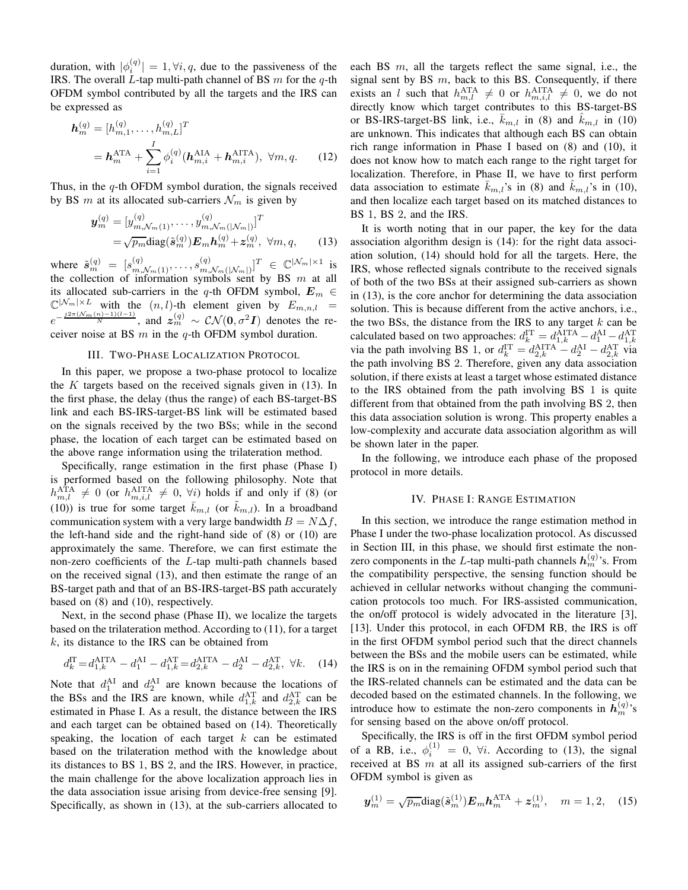duration, with  $|\phi_i^{(q)}| = 1, \forall i, q$ , due to the passiveness of the IRS. The overall  $L$ -tap multi-path channel of BS  $m$  for the  $q$ -th OFDM symbol contributed by all the targets and the IRS can be expressed as

$$
\mathbf{h}_{m}^{(q)} = [h_{m,1}^{(q)}, \dots, h_{m,L}^{(q)}]^T
$$
  
=  $\mathbf{h}_{m}^{\text{ATA}} + \sum_{i=1}^{I} \phi_i^{(q)}(\mathbf{h}_{m,i}^{\text{AIA}} + \mathbf{h}_{m,i}^{\text{AITA}}), \forall m, q.$  (12)

Thus, in the  $q$ -th OFDM symbol duration, the signals received by BS m at its allocated sub-carriers  $\mathcal{N}_m$  is given by

$$
\mathbf{y}_{m}^{(q)} = [y_{m,\mathcal{N}_{m}(1)}^{(q)}, \dots, y_{m,\mathcal{N}_{m}(|\mathcal{N}_{m}|)}^{(q)}]^T \n= \sqrt{p_{m}} \text{diag}(\tilde{\mathbf{s}}_{m}^{(q)}) \mathbf{E}_{m} \mathbf{h}_{m}^{(q)} + \mathbf{z}_{m}^{(q)}, \ \forall m, q,
$$
\n(13)

where  $\tilde{s}_{m}^{(q)} = [s_{m,\mathcal{N}_m(1)}^{(q)}, \dots, s_{m,\mathcal{N}_m(n)}^{(q)}]$  $\sum_{m,\mathcal{N}_m(\left|\mathcal{N}_m\right|)}^{\left(q\right)}\big]^{T} \ \in \ \mathbb{C}^{\left|\mathcal{N}_m\right|\times 1}$  is the collection of information symbols sent by BS  $m$  at all its allocated sub-carriers in the q-th OFDM symbol,  $E_m \in$  $\mathbb{C}^{\vert \mathcal{N}_m \vert \times L}$  with the  $(n, l)$ -th element given by  $E_{m,n,l}$  =  $e^{-\frac{j2\pi(\mathcal{N}_m(n)-1)(l-1)}{N}}$ , and  $z_m^{(q)} \sim \mathcal{CN}(0,\sigma^2I)$  denotes the receiver noise at BS  $m$  in the  $q$ -th OFDM symbol duration.

#### III. TWO-PHASE LOCALIZATION PROTOCOL

<span id="page-2-2"></span>In this paper, we propose a two-phase protocol to localize the  $K$  targets based on the received signals given in [\(13\)](#page-2-0). In the first phase, the delay (thus the range) of each BS-target-BS link and each BS-IRS-target-BS link will be estimated based on the signals received by the two BSs; while in the second phase, the location of each target can be estimated based on the above range information using the trilateration method.

Specifically, range estimation in the first phase (Phase I) is performed based on the following philosophy. Note that  $h_{m,l}^{\text{ATA}} \neq 0$  (or  $h_{m,i,l}^{\text{AITA}} \neq 0$ ,  $\forall i$ ) holds if and only if [\(8\)](#page-1-2) (or [\(10\)](#page-1-3)) is true for some target  $\bar{k}_{m,l}$  (or  $\tilde{k}_{m,l}$ ). In a broadband communication system with a very large bandwidth  $B = N\Delta f$ , the left-hand side and the right-hand side of [\(8\)](#page-1-2) or [\(10\)](#page-1-3) are approximately the same. Therefore, we can first estimate the non-zero coefficients of the L-tap multi-path channels based on the received signal [\(13\)](#page-2-0), and then estimate the range of an BS-target path and that of an BS-IRS-target-BS path accurately based on [\(8\)](#page-1-2) and [\(10\)](#page-1-3), respectively.

Next, in the second phase (Phase II), we localize the targets based on the trilateration method. According to [\(11\)](#page-1-4), for a target  $k$ , its distance to the IRS can be obtained from

$$
d_k^{\text{IT}} = d_{1,k}^{\text{AITA}} - d_1^{\text{AI}} - d_{1,k}^{\text{AT}} = d_{2,k}^{\text{AITA}} - d_2^{\text{AI}} - d_{2,k}^{\text{AT}}, \ \forall k. \tag{14}
$$

Note that  $d_1^{\text{AI}}$  and  $d_2^{\text{AI}}$  are known because the locations of the BSs and the IRS are known, while  $d_{1,k}^{AT}$  and  $d_{2,k}^{AT}$  can be estimated in Phase I. As a result, the distance between the IRS and each target can be obtained based on [\(14\)](#page-2-1). Theoretically speaking, the location of each target  $k$  can be estimated based on the trilateration method with the knowledge about its distances to BS 1, BS 2, and the IRS. However, in practice, the main challenge for the above localization approach lies in the data association issue arising from device-free sensing [\[9\]](#page-5-5). Specifically, as shown in [\(13\)](#page-2-0), at the sub-carriers allocated to

each BS  $m$ , all the targets reflect the same signal, i.e., the signal sent by BS  $m$ , back to this BS. Consequently, if there exists an l such that  $h_{m,l}^{\text{ATA}} \neq 0$  or  $h_{m,i,l}^{\text{AITA}} \neq 0$ , we do not directly know which target contributes to this BS-target-BS or BS-IRS-target-BS link, i.e.,  $k_{m,l}$  in [\(8\)](#page-1-2) and  $k_{m,l}$  in [\(10\)](#page-1-3) are unknown. This indicates that although each BS can obtain rich range information in Phase I based on [\(8\)](#page-1-2) and [\(10\)](#page-1-3), it does not know how to match each range to the right target for localization. Therefore, in Phase II, we have to first perform data association to estimate  $k_{m,l}$ 's in [\(8\)](#page-1-2) and  $k_{m,l}$ 's in [\(10\)](#page-1-3), and then localize each target based on its matched distances to BS 1, BS 2, and the IRS.

<span id="page-2-3"></span><span id="page-2-0"></span>It is worth noting that in our paper, the key for the data association algorithm design is [\(14\)](#page-2-1): for the right data association solution, [\(14\)](#page-2-1) should hold for all the targets. Here, the IRS, whose reflected signals contribute to the received signals of both of the two BSs at their assigned sub-carriers as shown in [\(13\)](#page-2-0), is the core anchor for determining the data association solution. This is because different from the active anchors, i.e., the two BSs, the distance from the IRS to any target  $k$  can be calculated based on two approaches:  $d_k^{\text{IT}} = d_{1,k}^{\text{AITA}} - d_1^{\text{AI}} - d_{1,k}^{\text{AT}}$ <br>via the path involving BS 1, or  $d_k^{\text{IT}} = d_{2,k}^{\text{AITA}} - d_2^{\text{AI}} - d_{2,k}^{\text{AT}}$  via the path involving BS 2. Therefore, given any data association solution, if there exists at least a target whose estimated distance to the IRS obtained from the path involving BS 1 is quite different from that obtained from the path involving BS 2, then this data association solution is wrong. This property enables a low-complexity and accurate data association algorithm as will be shown later in the paper.

In the following, we introduce each phase of the proposed protocol in more details.

## IV. PHASE I: RANGE ESTIMATION

In this section, we introduce the range estimation method in Phase I under the two-phase localization protocol. As discussed in Section [III,](#page-2-2) in this phase, we should first estimate the nonzero components in the L-tap multi-path channels  $h_m^{(q)}$ 's. From the compatibility perspective, the sensing function should be achieved in cellular networks without changing the communication protocols too much. For IRS-assisted communication, the on/off protocol is widely advocated in the literature [\[3\]](#page-5-2), [\[13\]](#page-5-9). Under this protocol, in each OFDM RB, the IRS is off in the first OFDM symbol period such that the direct channels between the BSs and the mobile users can be estimated, while the IRS is on in the remaining OFDM symbol period such that the IRS-related channels can be estimated and the data can be decoded based on the estimated channels. In the following, we introduce how to estimate the non-zero components in  $\mathbf{h}_m^{(q)}$ 's for sensing based on the above on/off protocol.

<span id="page-2-1"></span>Specifically, the IRS is off in the first OFDM symbol period of a RB, i.e.,  $\phi_i^{(1)} = 0$ ,  $\forall i$ . According to [\(13\)](#page-2-0), the signal received at BS  $m$  at all its assigned sub-carriers of the first OFDM symbol is given as

$$
\mathbf{y}_{m}^{(1)} = \sqrt{p_{m}} \text{diag}(\tilde{\mathbf{s}}_{m}^{(1)}) \mathbf{E}_{m} \mathbf{h}_{m}^{\text{ATA}} + \mathbf{z}_{m}^{(1)}, \quad m = 1, 2, \quad (15)
$$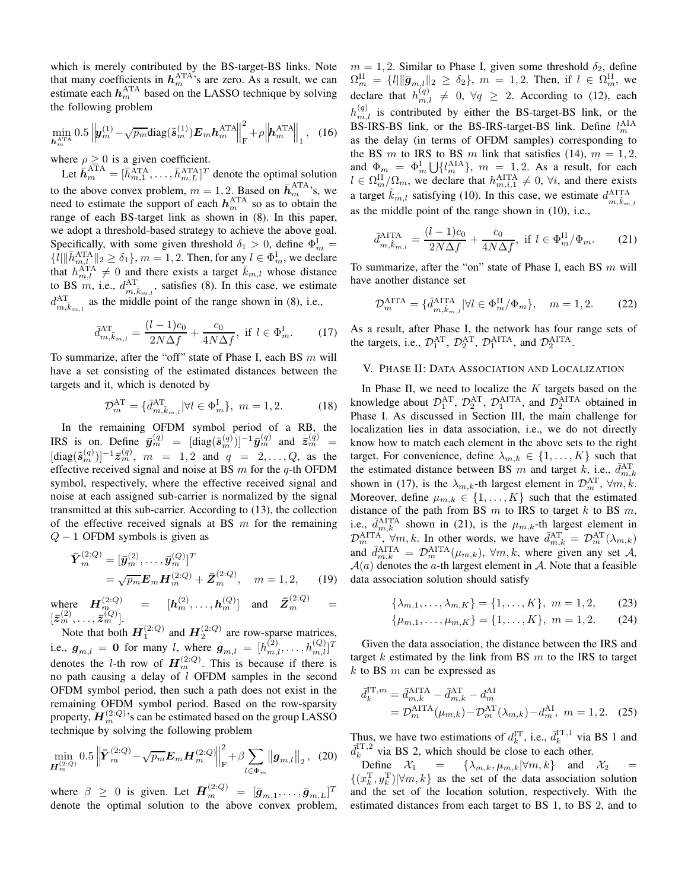which is merely contributed by the BS-target-BS links. Note that many coefficients in  $h_m^{\text{ATA}}$ 's are zero. As a result, we can estimate each  $h_m^{\text{ATA}}$  based on the LASSO technique by solving the following problem

$$
\min_{\boldsymbol{h}_{m}^{\text{ATA}}} 0.5 \left\| \boldsymbol{y}_{m}^{(1)} - \sqrt{p_{m}} \text{diag}(\tilde{\boldsymbol{s}}_{m}^{(1)}) \boldsymbol{E}_{m} \boldsymbol{h}_{m}^{\text{ATA}} \right\|_{\text{F}}^{2} + \rho \left\| \boldsymbol{h}_{m}^{\text{ATA}} \right\|_{1}, \quad (16)
$$

where  $\rho \geq 0$  is a given coefficient.

Let  $\bar{h}_m^{\text{ATA}} = [\bar{h}_{m,1}^{\text{ATA}}, \dots, \bar{h}_{m,L}^{\text{ATA}}]^T$  denote the optimal solution to the above convex problem,  $m = 1, 2$ . Based on  $\bar{h}_m^{\text{ATA}}$ 's, we need to estimate the support of each  $h_m^{\text{ATA}}$  so as to obtain the range of each BS-target link as shown in [\(8\)](#page-1-2). In this paper, we adopt a threshold-based strategy to achieve the above goal. Specifically, with some given threshold  $\delta_1 > 0$ , define  $\Phi_m^I$  =  $\{l\|\bar{h}_{m,l}^{\text{ATA}}\|_2 \ge \delta_1\}$ ,  $m = 1, 2$ . Then, for any  $l \in \Phi_m^{\text{I}}$ , we declare that  $h_{m,l}^{\text{ATA}} \neq 0$  and there exists a target  $\bar{k}_{m,l}$  whose distance to BS m, i.e.,  $d_{m,\bar{k}_{m,l}}^{\text{AT}}$ , satisfies [\(8\)](#page-1-2). In this case, we estimate  $d_{m,\bar{k}_{m,l}}^{\text{AT}}$  as the middle point of the range shown in [\(8\)](#page-1-2), i.e.,

$$
\bar{d}_{m,\bar{k}_{m,l}}^{\text{AT}} = \frac{(l-1)c_0}{2N\Delta f} + \frac{c_0}{4N\Delta f}, \text{ if } l \in \Phi_m^{\text{I}}.\tag{17}
$$

To summarize, after the "off" state of Phase I, each BS  $m$  will have a set consisting of the estimated distances between the targets and it, which is denoted by

$$
\mathcal{D}_{m}^{\text{AT}} = \{ \bar{d}_{m,\bar{k}_{m,l}}^{\text{AT}} | \forall l \in \Phi_{m}^{I} \}, \ m = 1, 2. \tag{18}
$$

In the remaining OFDM symbol period of a RB, the IRS is on. Define  $\bar{\mathbf{y}}_m^{(q)} = [\text{diag}(\tilde{\mathbf{s}}_m^{(q)})]^{-1} \bar{\mathbf{y}}_m^{(q)}$  and  $\bar{z}_m^{(q)} =$  $[\text{diag}(\tilde{\bm{s}}_m^{(q)})]^{-1}\bar{\bm{z}}_m^{(q)}, \; m = 1, 2 \; \text{and} \; q = 2, \ldots, Q, \; \text{as} \; \text{the}$ effective received signal and noise at BS  $m$  for the  $q$ -th OFDM symbol, respectively, where the effective received signal and noise at each assigned sub-carrier is normalized by the signal transmitted at this sub-carrier. According to [\(13\)](#page-2-0), the collection of the effective received signals at BS  $m$  for the remaining  $Q - 1$  OFDM symbols is given as

$$
\begin{aligned} \bar{\boldsymbol{Y}}_{m}^{(2:Q)} &= [\bar{\boldsymbol{y}}_{m}^{(2)}, \dots, \bar{\boldsymbol{y}}_{m}^{(Q)}]^T \\ &= \sqrt{p_m} \boldsymbol{E}_m \boldsymbol{H}_m^{(2:Q)} + \bar{\boldsymbol{Z}}_m^{(2:Q)}, \quad m = 1, 2, \end{aligned} \tag{19}
$$

where  $H_{m_{\infty}}^{(2:Q)} = [h_m^{(2)}, \dots, h_m^{(Q)}]$  and  $\bar{Z}_m^{(2:Q)} =$  $[\bar{z}_m^{(2)}, \ldots, \bar{z}_m^{(Q)}]$ .<br>Note that he the  $\mathbf{H}^{(2:Q)}$  and  $\mathbf{H}^{(2:Q)}$ 

Note that both  $H_1^{(2:Q)}$  and  $H_2^{(2:Q)}$  are row-sparse matrices, i.e.,  $g_{m,l} = 0$  for many l, where  $g_{m,l} = [h_{m,l}^{(2)}, \dots, h_{m,l}^{(Q)}]^T$ denotes the *l*-th row of  $H_m^{(2:Q)}$ . This is because if there is no path causing a delay of l OFDM samples in the second OFDM symbol period, then such a path does not exist in the remaining OFDM symbol period. Based on the row-sparsity property,  $\boldsymbol{H}^{(2:Q)}_m$ 's can be estimated based on the group LASSO technique by solving the following problem

$$
\min_{\mathbf{H}_{m}^{(2:Q)}} 0.5 \left\| \bar{\mathbf{Y}}_{m}^{(2:Q)} - \sqrt{p_{m}} \mathbf{E}_{m} \mathbf{H}_{m}^{(2:Q)} \right\|_{\mathrm{F}}^{2} + \beta \sum_{l \in \Phi_{m}} \left\| \mathbf{g}_{m,l} \right\|_{2}, \quad (20)
$$

where  $\beta \geq 0$  is given. Let  $\bar{H}_m^{(2:Q)} = [\bar{g}_{m,1}, \dots, \bar{g}_{m,L}]^T$ denote the optimal solution to the above convex problem,  $m = 1, 2$ . Similar to Phase I, given some threshold  $\delta_2$ , define  $\Omega_m^{\text{II}} \ = \ \{l | \|\bar{\bm{g}}_{m,l}\|_2 \ \geq \ \delta_2\}, \ m \ = \ 1,2. \ \ \text{Then, if} \ \ l \ \in \ \Omega_m^{\text{II}}, \ \text{we}$ declare that  $h_{m,l}^{(q)} \neq 0, \forall q \geq 2$ . According to [\(12\)](#page-2-3), each  $h_{m,l}^{(q)}$  is contributed by either the BS-target-BS link, or the BS-IRS-BS link, or the BS-IRS-target-BS link. Define  $l_m^{\text{AIA}}$ as the delay (in terms of OFDM samples) corresponding to the BS m to IRS to BS m link that satisfies [\(14\)](#page-2-1),  $m = 1, 2$ , and  $\Phi_m = \Phi_m^{\text{I}} \cup \{l_m^{\text{AIA}}\}, m = 1, 2$ . As a result, for each  $l \in \Omega_m^{\text{II}}/\Omega_m$ , we declare that  $h_{m,i,1}^{\text{AITA}} \neq 0$ ,  $\forall i$ , and there exists a target  $\hat{k}_{m,l}$  satisfying [\(10\)](#page-1-3). In this case, we estimate  $d_{m,\hat{k}_{m,l}}^{\text{AITA}}$ as the middle point of the range shown in [\(10\)](#page-1-3), i.e.,

<span id="page-3-1"></span>
$$
\bar{d}_{m,\hat{k}_{m,l}}^{\text{AITA}} = \frac{(l-1)c_0}{2N\Delta f} + \frac{c_0}{4N\Delta f}, \text{ if } l \in \Phi_m^{\text{II}}/\Phi_m. \tag{21}
$$

To summarize, after the "on" state of Phase I, each BS  $m$  will have another distance set

$$
\mathcal{D}_m^{\text{AITA}} = \{ \bar{d}_{m, \hat{k}_{m,l}}^{\text{AITA}} | \forall l \in \Phi_m^{\text{II}} / \Phi_m \}, \quad m = 1, 2. \tag{22}
$$

<span id="page-3-0"></span>As a result, after Phase I, the network has four range sets of the targets, i.e.,  $\mathcal{D}_1^{\text{AT}}, \mathcal{D}_2^{\text{AT}}, \mathcal{D}_1^{\text{AITA}},$  and  $\mathcal{D}_2^{\text{AITA}}$ .

# V. PHASE II: DATA ASSOCIATION AND LOCALIZATION

In Phase II, we need to localize the  $K$  targets based on the knowledge about  $\mathcal{D}_1^{\text{AT}}, \mathcal{D}_2^{\text{AT}}, \mathcal{D}_1^{\text{AITA}},$  and  $\mathcal{D}_2^{\text{AITA}}$  obtained in Phase I. As discussed in Section [III,](#page-2-2) the main challenge for localization lies in data association, i.e., we do not directly know how to match each element in the above sets to the right target. For convenience, define  $\lambda_{m,k} \in \{1, \ldots, K\}$  such that the estimated distance between BS m and target k, i.e.,  $\bar{d}_{m,k}^{\text{AT}}$ shown in [\(17\)](#page-3-0), is the  $\lambda_{m,k}$ -th largest element in  $\mathcal{D}_{m}^{\text{AT}}, \forall m, k$ . Moreover, define  $\mu_{m,k} \in \{1, \ldots, K\}$  such that the estimated distance of the path from BS  $m$  to IRS to target  $k$  to BS  $m$ , i.e.,  $\bar{d}_{m,k}^{\text{AITA}}$  shown in [\(21\)](#page-3-1), is the  $\mu_{m,k}$ -th largest element in  $\mathcal{D}_m^{\text{AITA}}(\forall m, k$ . In other words, we have  $\bar{d}_{m,k}^{\text{AT}} = \mathcal{D}_m^{\text{AT}}(\lambda_{m,k})$ and  $\bar{d}_{m,k}^{\text{AITA}} = \mathcal{D}_m^{\text{AITA}}(\mu_{m,k}), \forall m, k$ , where given any set A,  $A(a)$  denotes the a-th largest element in A. Note that a feasible data association solution should satisfy

<span id="page-3-3"></span><span id="page-3-2"></span>
$$
\{\lambda_{m,1},\ldots,\lambda_{m,K}\} = \{1,\ldots,K\},\; m = 1,2,\qquad(23)
$$

<span id="page-3-4"></span>
$$
\{\mu_{m,1},\ldots,\mu_{m,K}\} = \{1,\ldots,K\},\; m = 1,2.\qquad(24)
$$

Given the data association, the distance between the IRS and target k estimated by the link from BS  $m$  to the IRS to target  $k$  to BS  $m$  can be expressed as

$$
\bar{d}_{k}^{\text{IT},m} = \bar{d}_{m,k}^{\text{AITA}} - \bar{d}_{m,k}^{\text{AT}} - d_{m}^{\text{AI}} \n= \mathcal{D}_{m}^{\text{AITA}}(\mu_{m,k}) - \mathcal{D}_{m}^{\text{AT}}(\lambda_{m,k}) - d_{m}^{\text{AI}}, \ m = 1, 2. \quad (25)
$$

Thus, we have two estimations of  $d_k^{\text{IT}}$ , i.e.,  $\bar{d}_k^{\text{IT},1}$  via BS 1 and  $\bar{d}_k^{\text{IT},2}$  via BS 2, which should be close to each other.

Define  $\mathcal{X}_1 = {\lambda_{m,k}, \mu_{m,k} | \forall m, k}$  and  $\mathcal{X}_2 =$  $\{(x_k^T, y_k^T)| \forall m, k\}$  as the set of the data association solution and the set of the location solution, respectively. With the estimated distances from each target to BS 1, to BS 2, and to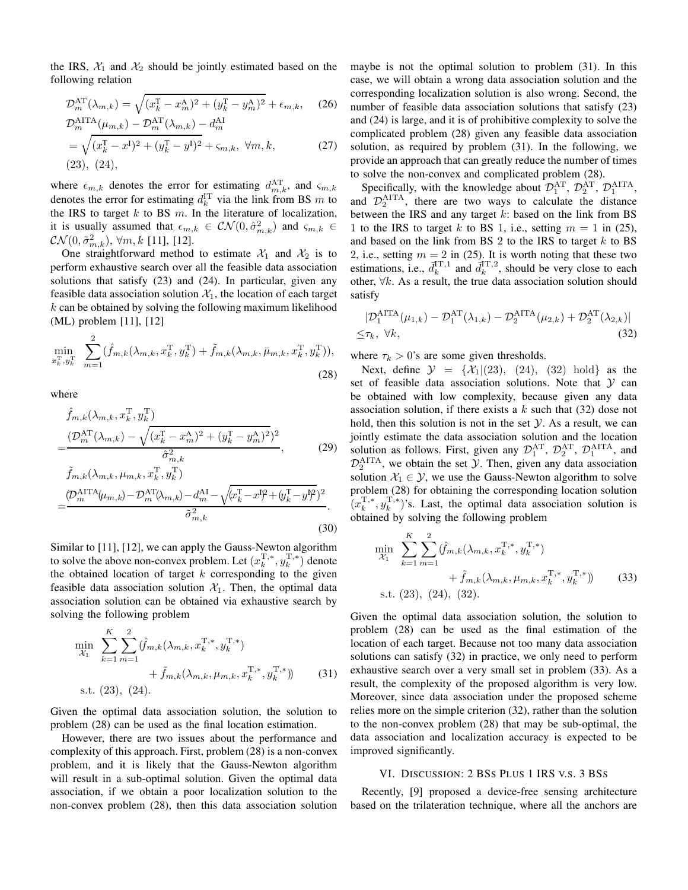the IRS,  $\mathcal{X}_1$  and  $\mathcal{X}_2$  should be jointly estimated based on the following relation

$$
\mathcal{D}_{m}^{\text{AT}}(\lambda_{m,k}) = \sqrt{(x_{k}^{\text{T}} - x_{m}^{\text{A}})^{2} + (y_{k}^{\text{T}} - y_{m}^{\text{A}})^{2}} + \epsilon_{m,k}, \quad (26)
$$
  

$$
\mathcal{D}_{m}^{\text{AITA}}(\mu_{m,k}) - \mathcal{D}_{m}^{\text{AT}}(\lambda_{m,k}) - d_{m}^{\text{AI}}
$$

$$
D_m^{(m+1)}(\mu_{m,k}) - D_m^{(m)}(\lambda_{m,k}) - d_m^{(m)}
$$
  
=  $\sqrt{(x_k^T - x^I)^2 + (y_k^T - y^I)^2} + \varsigma_{m,k}, \ \forall m, k,$  (27)  
(23), (24),

where  $\epsilon_{m,k}$  denotes the error for estimating  $d_{m,k}^{\text{AT}}$ , and  $\varsigma_{m,k}$ denotes the error for estimating  $d_k^{\text{IT}}$  via the link from BS m to the IRS to target  $k$  to BS  $m$ . In the literature of localization, it is usually assumed that  $\epsilon_{m,k} \in \mathcal{CN}(0, \hat{\sigma}_{m,k}^2)$  and  $\varsigma_{m,k} \in$  $\mathcal{CN}(0,\tilde{\sigma}_{m,k}^2),\,\forall m,k$  [\[11\]](#page-5-7), [\[12\]](#page-5-8).

One straightforward method to estimate  $\mathcal{X}_1$  and  $\mathcal{X}_2$  is to perform exhaustive search over all the feasible data association solutions that satisfy [\(23\)](#page-3-2) and [\(24\)](#page-3-3). In particular, given any feasible data association solution  $X_1$ , the location of each target  $k$  can be obtained by solving the following maximum likelihood (ML) problem [\[11\]](#page-5-7), [\[12\]](#page-5-8)

$$
\min_{x_k^{\mathrm{T}}, y_k^{\mathrm{T}}} \sum_{m=1}^2 (\hat{f}_{m,k}(\lambda_{m,k}, x_k^{\mathrm{T}}, y_k^{\mathrm{T}}) + \tilde{f}_{m,k}(\lambda_{m,k}, \bar{\mu}_{m,k}, x_k^{\mathrm{T}}, y_k^{\mathrm{T}})),
$$
\n(28)

where

=

$$
\hat{f}_{m,k}(\lambda_{m,k}, x_k^{\mathrm{T}}, y_k^{\mathrm{T}})
$$
\n
$$
= \frac{(\mathcal{D}_m^{\mathrm{AT}}(\lambda_{m,k}) - \sqrt{(x_k^{\mathrm{T}} - x_m^{\mathrm{A}})^2 + (y_k^{\mathrm{T}} - y_m^{\mathrm{A}})^2})^2}{\hat{\sigma}_{m,k}^2},
$$
\n(29)

$$
\tilde{f}_{m,k}(\lambda_{m,k}, \mu_{m,k}, x_k^{\mathrm{T}}, y_k^{\mathrm{T}})
$$
\n
$$
\frac{(\mathcal{D}_m^{\mathrm{AITA}}(\mu_{m,k}) - \mathcal{D}_m^{\mathrm{AT}}(\lambda_{m,k}) - d_m^{\mathrm{AI}} - \sqrt{(x_k^{\mathrm{T}} - x^{\mathrm{I}})^2 + (y_k^{\mathrm{T}} - y^{\mathrm{I}})^2})^2}{\tilde{\sigma}_{m,k}^2}.
$$
\n(30)

Similar to [\[11\]](#page-5-7), [\[12\]](#page-5-8), we can apply the Gauss-Newton algorithm to solve the above non-convex problem. Let  $(x_k^{\mathrm{T},*}, y_k^{\mathrm{T},*})$  denote the obtained location of target  $k$  corresponding to the given feasible data association solution  $X_1$ . Then, the optimal data association solution can be obtained via exhaustive search by solving the following problem

$$
\min_{\mathcal{X}_1} \sum_{k=1}^K \sum_{m=1}^2 (\hat{f}_{m,k}(\lambda_{m,k}, x_k^{\mathrm{T},*}, y_k^{\mathrm{T},*}) + \tilde{f}_{m,k}(\lambda_{m,k}, \mu_{m,k}, x_k^{\mathrm{T},*}, y_k^{\mathrm{T},*}) \qquad (31)
$$
\n
$$
\text{s.t. } (23), (24).
$$

Given the optimal data association solution, the solution to problem [\(28\)](#page-4-0) can be used as the final location estimation.

However, there are two issues about the performance and complexity of this approach. First, problem [\(28\)](#page-4-0) is a non-convex problem, and it is likely that the Gauss-Newton algorithm will result in a sub-optimal solution. Given the optimal data association, if we obtain a poor localization solution to the non-convex problem [\(28\)](#page-4-0), then this data association solution maybe is not the optimal solution to problem [\(31\)](#page-4-1). In this case, we will obtain a wrong data association solution and the corresponding localization solution is also wrong. Second, the number of feasible data association solutions that satisfy [\(23\)](#page-3-2) and [\(24\)](#page-3-3) is large, and it is of prohibitive complexity to solve the complicated problem [\(28\)](#page-4-0) given any feasible data association solution, as required by problem [\(31\)](#page-4-1). In the following, we provide an approach that can greatly reduce the number of times to solve the non-convex and complicated problem [\(28\)](#page-4-0).

Specifically, with the knowledge about  $\mathcal{D}_1^{\text{AT}}$ ,  $\mathcal{D}_2^{\text{AT}}$ ,  $\mathcal{D}_1^{\text{ATA}}$ , and  $\mathcal{D}_2^{\text{AITA}}$ , there are two ways to calculate the distance between the IRS and any target  $k$ : based on the link from BS 1 to the IRS to target k to BS 1, i.e., setting  $m = 1$  in [\(25\)](#page-3-4), and based on the link from BS 2 to the IRS to target  $k$  to BS 2, i.e., setting  $m = 2$  in [\(25\)](#page-3-4). It is worth noting that these two estimations, i.e.,  $\bar{d}_k^{\text{IT},1}$  and  $\bar{d}_k^{\text{IT},2}$ , should be very close to each other,  $\forall k$ . As a result, the true data association solution should satisfy

<span id="page-4-2"></span>
$$
|\mathcal{D}_1^{\text{ATTA}}(\mu_{1,k}) - \mathcal{D}_1^{\text{AT}}(\lambda_{1,k}) - \mathcal{D}_2^{\text{ATTA}}(\mu_{2,k}) + \mathcal{D}_2^{\text{AT}}(\lambda_{2,k})|
$$
  

$$
\leq \tau_k, \ \forall k,
$$
 (32)

where  $\tau_k > 0$ 's are some given thresholds.

<span id="page-4-0"></span>Next, define  $\mathcal{Y} = \{X_1|(23), (24), (32) \text{ hold} \}$  $\mathcal{Y} = \{X_1|(23), (24), (32) \text{ hold} \}$  $\mathcal{Y} = \{X_1|(23), (24), (32) \text{ hold} \}$  $\mathcal{Y} = \{X_1|(23), (24), (32) \text{ hold} \}$  $\mathcal{Y} = \{X_1|(23), (24), (32) \text{ hold} \}$  $\mathcal{Y} = \{X_1|(23), (24), (32) \text{ hold} \}$  $\mathcal{Y} = \{X_1|(23), (24), (32) \text{ hold} \}$  as the set of feasible data association solutions. Note that  $Y$  can be obtained with low complexity, because given any data association solution, if there exists a  $k$  such that [\(32\)](#page-4-2) dose not hold, then this solution is not in the set  $\mathcal Y$ . As a result, we can jointly estimate the data association solution and the location solution as follows. First, given any  $\mathcal{D}_1^{\text{AT}}$ ,  $\mathcal{D}_2^{\text{AT}}$ ,  $\mathcal{D}_1^{\text{ATIA}}$ , and  $\mathcal{D}_2^{\text{AITA}}$ , we obtain the set  $\mathcal{Y}$ . Then, given any data association solution  $X_1 \in \mathcal{Y}$ , we use the Gauss-Newton algorithm to solve problem [\(28\)](#page-4-0) for obtaining the corresponding location solution  $(x_k^{\mathrm{T},*}, y_k^{\mathrm{T},*})$ 's. Last, the optimal data association solution is obtained by solving the following problem

<span id="page-4-3"></span>
$$
\min_{\mathcal{X}_1} \sum_{k=1}^K \sum_{m=1}^2 (\hat{f}_{m,k}(\lambda_{m,k}, x_k^{T,*}, y_k^{T,*}) + \tilde{f}_{m,k}(\lambda_{m,k}, \mu_{m,k}, x_k^{T,*}, y_k^{T,*})) \qquad (33)
$$
  
s.t. (23), (24), (32).

<span id="page-4-1"></span>Given the optimal data association solution, the solution to problem [\(28\)](#page-4-0) can be used as the final estimation of the location of each target. Because not too many data association solutions can satisfy [\(32\)](#page-4-2) in practice, we only need to perform exhaustive search over a very small set in problem [\(33\)](#page-4-3). As a result, the complexity of the proposed algorithm is very low. Moreover, since data association under the proposed scheme relies more on the simple criterion [\(32\)](#page-4-2), rather than the solution to the non-convex problem [\(28\)](#page-4-0) that may be sub-optimal, the data association and localization accuracy is expected to be improved significantly.

# VI. DISCUSSION: 2 BSS PLUS 1 IRS V.S. 3 BSS

Recently, [\[9\]](#page-5-5) proposed a device-free sensing architecture based on the trilateration technique, where all the anchors are